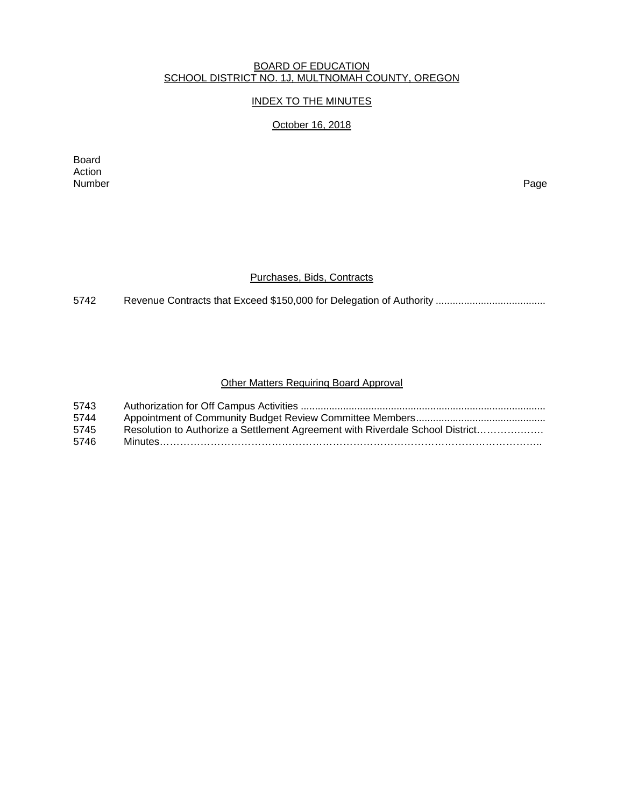#### BOARD OF EDUCATION SCHOOL DISTRICT NO. 1J, MULTNOMAH COUNTY, OREGON

# INDEX TO THE MINUTES

# October 16, 2018

Board Action<br>Number Number Page

### Purchases, Bids, Contracts

5742 Revenue Contracts that Exceed \$150,000 for Delegation of Authority .......................................

# Other Matters Requiring Board Approval

| 5743 |                                                                               |
|------|-------------------------------------------------------------------------------|
| 5744 |                                                                               |
| 5745 | Resolution to Authorize a Settlement Agreement with Riverdale School District |
| 5746 |                                                                               |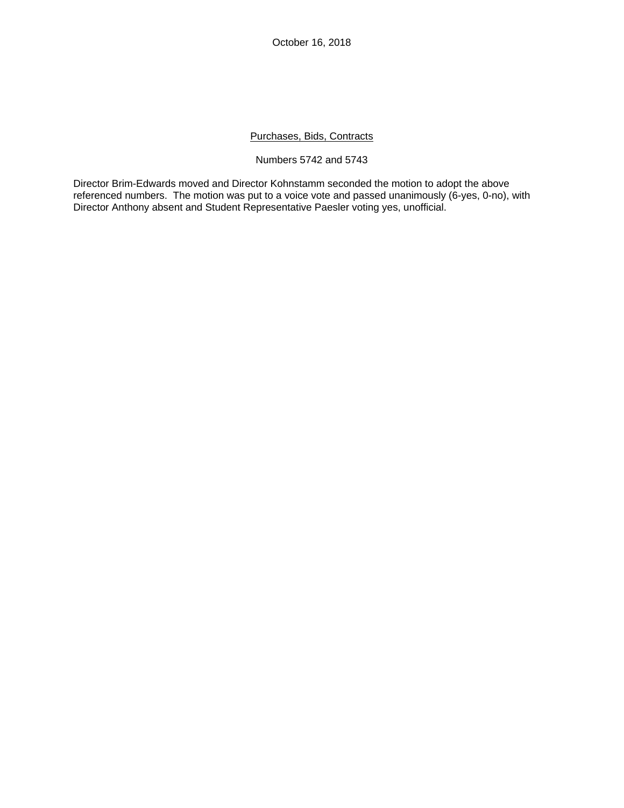October 16, 2018

## Purchases, Bids, Contracts

#### Numbers 5742 and 5743

Director Brim-Edwards moved and Director Kohnstamm seconded the motion to adopt the above referenced numbers. The motion was put to a voice vote and passed unanimously (6-yes, 0-no), with Director Anthony absent and Student Representative Paesler voting yes, unofficial.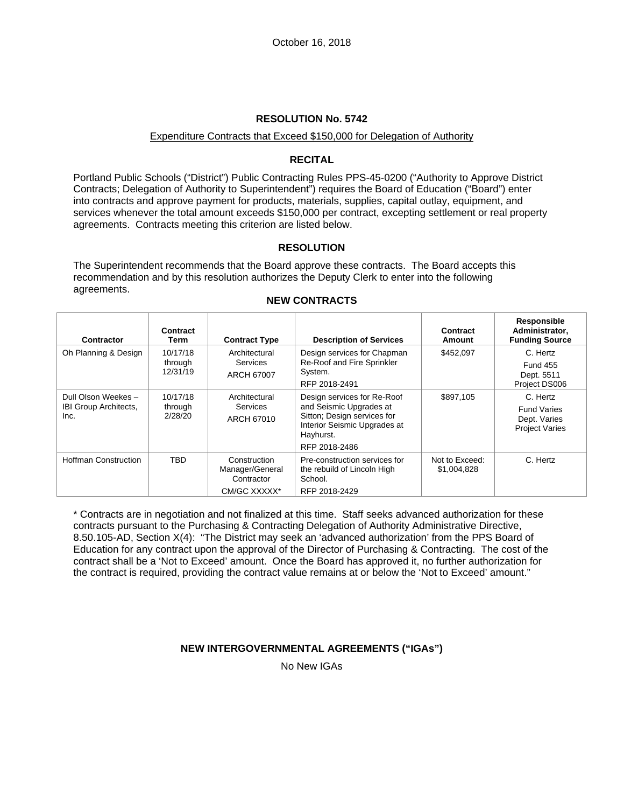#### Expenditure Contracts that Exceed \$150,000 for Delegation of Authority

### **RECITAL**

Portland Public Schools ("District") Public Contracting Rules PPS-45-0200 ("Authority to Approve District Contracts; Delegation of Authority to Superintendent") requires the Board of Education ("Board") enter into contracts and approve payment for products, materials, supplies, capital outlay, equipment, and services whenever the total amount exceeds \$150,000 per contract, excepting settlement or real property agreements. Contracts meeting this criterion are listed below.

### **RESOLUTION**

The Superintendent recommends that the Board approve these contracts. The Board accepts this recommendation and by this resolution authorizes the Deputy Clerk to enter into the following agreements.

| Contractor                                                  | Contract<br>Term                | <b>Contract Type</b>                                          | <b>Description of Services</b>                                                                                                                      | Contract<br>Amount            | Responsible<br>Administrator,<br><b>Funding Source</b>                  |
|-------------------------------------------------------------|---------------------------------|---------------------------------------------------------------|-----------------------------------------------------------------------------------------------------------------------------------------------------|-------------------------------|-------------------------------------------------------------------------|
| Oh Planning & Design                                        | 10/17/18<br>through<br>12/31/19 | Architectural<br><b>Services</b><br>ARCH 67007                | Design services for Chapman<br>Re-Roof and Fire Sprinkler<br>System.<br>RFP 2018-2491                                                               | \$452,097                     | C. Hertz<br><b>Fund 455</b><br>Dept. 5511<br>Project DS006              |
| Dull Olson Weekes -<br><b>IBI Group Architects,</b><br>Inc. | 10/17/18<br>through<br>2/28/20  | Architectural<br><b>Services</b><br>ARCH 67010                | Design services for Re-Roof<br>and Seismic Upgrades at<br>Sitton; Design services for<br>Interior Seismic Upgrades at<br>Hayhurst.<br>RFP 2018-2486 | \$897,105                     | C. Hertz<br><b>Fund Varies</b><br>Dept. Varies<br><b>Project Varies</b> |
| <b>Hoffman Construction</b>                                 | <b>TBD</b>                      | Construction<br>Manager/General<br>Contractor<br>CM/GC XXXXX* | Pre-construction services for<br>the rebuild of Lincoln High<br>School.<br>RFP 2018-2429                                                            | Not to Exceed:<br>\$1,004,828 | C. Hertz                                                                |

### **NEW CONTRACTS**

\* Contracts are in negotiation and not finalized at this time. Staff seeks advanced authorization for these contracts pursuant to the Purchasing & Contracting Delegation of Authority Administrative Directive, 8.50.105-AD, Section X(4): "The District may seek an 'advanced authorization' from the PPS Board of Education for any contract upon the approval of the Director of Purchasing & Contracting. The cost of the contract shall be a 'Not to Exceed' amount. Once the Board has approved it, no further authorization for the contract is required, providing the contract value remains at or below the 'Not to Exceed' amount."

# **NEW INTERGOVERNMENTAL AGREEMENTS ("IGAs")**

No New IGAs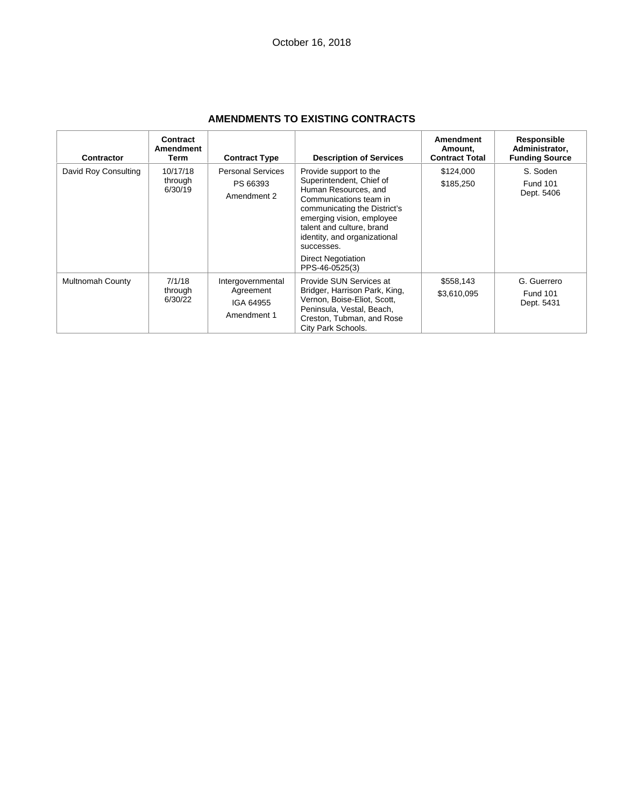| <b>Contractor</b>       | Contract<br>Amendment<br>Term  | <b>Contract Type</b>                                       | <b>Description of Services</b>                                                                                                                                                                                                                                                              | <b>Amendment</b><br>Amount.<br><b>Contract Total</b> | Responsible<br>Administrator,<br><b>Funding Source</b> |
|-------------------------|--------------------------------|------------------------------------------------------------|---------------------------------------------------------------------------------------------------------------------------------------------------------------------------------------------------------------------------------------------------------------------------------------------|------------------------------------------------------|--------------------------------------------------------|
| David Roy Consulting    | 10/17/18<br>through<br>6/30/19 | <b>Personal Services</b><br>PS 66393<br>Amendment 2        | Provide support to the<br>Superintendent, Chief of<br>Human Resources, and<br>Communications team in<br>communicating the District's<br>emerging vision, employee<br>talent and culture, brand<br>identity, and organizational<br>successes.<br><b>Direct Negotiation</b><br>PPS-46-0525(3) | \$124,000<br>\$185,250                               | S. Soden<br><b>Fund 101</b><br>Dept. 5406              |
| <b>Multnomah County</b> | 7/1/18<br>through<br>6/30/22   | Intergovernmental<br>Agreement<br>IGA 64955<br>Amendment 1 | Provide SUN Services at<br>Bridger, Harrison Park, King,<br>Vernon, Boise-Eliot, Scott,<br>Peninsula, Vestal, Beach,<br>Creston, Tubman, and Rose<br>City Park Schools.                                                                                                                     | \$558,143<br>\$3,610,095                             | G. Guerrero<br><b>Fund 101</b><br>Dept. 5431           |

# **AMENDMENTS TO EXISTING CONTRACTS**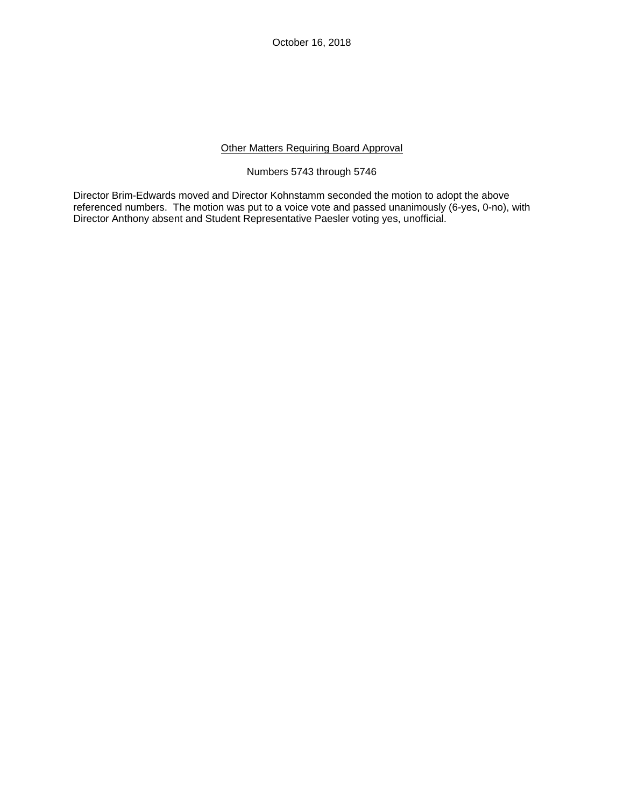# Other Matters Requiring Board Approval

### Numbers 5743 through 5746

Director Brim-Edwards moved and Director Kohnstamm seconded the motion to adopt the above referenced numbers. The motion was put to a voice vote and passed unanimously (6-yes, 0-no), with Director Anthony absent and Student Representative Paesler voting yes, unofficial.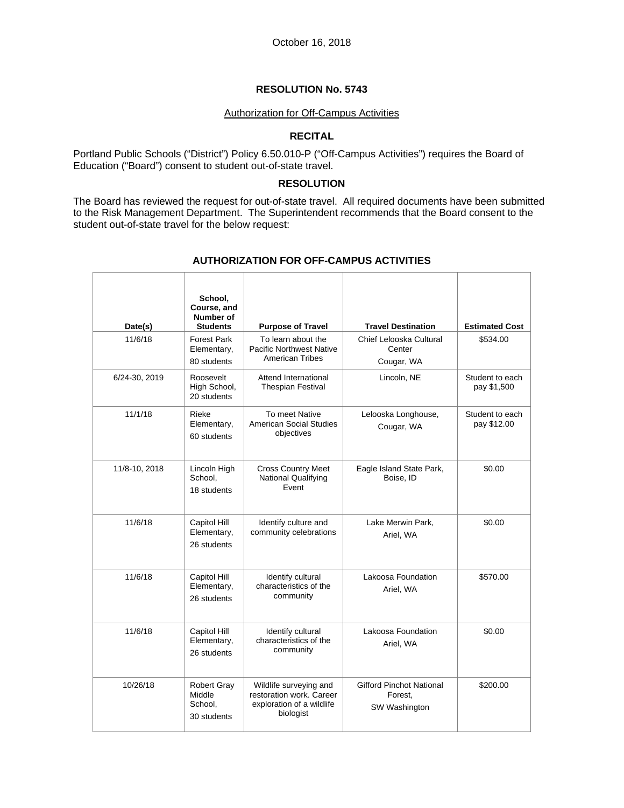#### Authorization for Off-Campus Activities

# **RECITAL**

Portland Public Schools ("District") Policy 6.50.010-P ("Off-Campus Activities") requires the Board of Education ("Board") consent to student out-of-state travel.

#### **RESOLUTION**

The Board has reviewed the request for out-of-state travel. All required documents have been submitted to the Risk Management Department. The Superintendent recommends that the Board consent to the student out-of-state travel for the below request:

| Date(s)       | School,<br>Course, and<br>Number of<br><b>Students</b> | <b>Purpose of Travel</b>                                                                     | <b>Travel Destination</b>                            | <b>Estimated Cost</b>          |
|---------------|--------------------------------------------------------|----------------------------------------------------------------------------------------------|------------------------------------------------------|--------------------------------|
| 11/6/18       | <b>Forest Park</b><br>Elementary,<br>80 students       | To learn about the<br><b>Pacific Northwest Native</b><br><b>American Tribes</b>              | Chief Lelooska Cultural<br>Center<br>Cougar, WA      | \$534.00                       |
| 6/24-30, 2019 | Roosevelt<br>High School,<br>20 students               | Attend International<br><b>Thespian Festival</b>                                             | Lincoln, NE                                          | Student to each<br>pay \$1,500 |
| 11/1/18       | Rieke<br>Elementary,<br>60 students                    | To meet Native<br><b>American Social Studies</b><br>objectives                               | Lelooska Longhouse,<br>Cougar, WA                    | Student to each<br>pay \$12.00 |
| 11/8-10, 2018 | Lincoln High<br>School,<br>18 students                 | <b>Cross Country Meet</b><br><b>National Qualifying</b><br>Event                             | Eagle Island State Park,<br>Boise, ID                | \$0.00                         |
| 11/6/18       | Capitol Hill<br>Elementary,<br>26 students             | Identify culture and<br>community celebrations                                               | Lake Merwin Park,<br>Ariel, WA                       | \$0.00                         |
| 11/6/18       | Capitol Hill<br>Elementary,<br>26 students             | Identify cultural<br>characteristics of the<br>community                                     | Lakoosa Foundation<br>Ariel, WA                      | \$570.00                       |
| 11/6/18       | Capitol Hill<br>Elementary,<br>26 students             | Identify cultural<br>characteristics of the<br>community                                     | Lakoosa Foundation<br>Ariel, WA                      | \$0.00                         |
| 10/26/18      | <b>Robert Gray</b><br>Middle<br>School.<br>30 students | Wildlife surveying and<br>restoration work. Career<br>exploration of a wildlife<br>biologist | Gifford Pinchot National<br>Forest,<br>SW Washington | \$200.00                       |

#### **AUTHORIZATION FOR OFF-CAMPUS ACTIVITIES**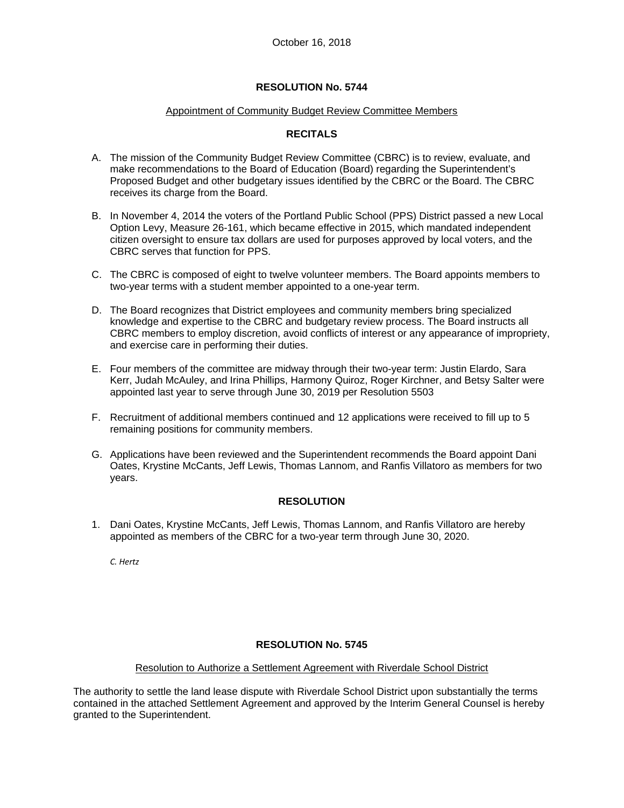### Appointment of Community Budget Review Committee Members

## **RECITALS**

- A. The mission of the Community Budget Review Committee (CBRC) is to review, evaluate, and make recommendations to the Board of Education (Board) regarding the Superintendent's Proposed Budget and other budgetary issues identified by the CBRC or the Board. The CBRC receives its charge from the Board.
- B. In November 4, 2014 the voters of the Portland Public School (PPS) District passed a new Local Option Levy, Measure 26-161, which became effective in 2015, which mandated independent citizen oversight to ensure tax dollars are used for purposes approved by local voters, and the CBRC serves that function for PPS.
- C. The CBRC is composed of eight to twelve volunteer members. The Board appoints members to two-year terms with a student member appointed to a one-year term.
- D. The Board recognizes that District employees and community members bring specialized knowledge and expertise to the CBRC and budgetary review process. The Board instructs all CBRC members to employ discretion, avoid conflicts of interest or any appearance of impropriety, and exercise care in performing their duties.
- E. Four members of the committee are midway through their two-year term: Justin Elardo, Sara Kerr, Judah McAuley, and Irina Phillips, Harmony Quiroz, Roger Kirchner, and Betsy Salter were appointed last year to serve through June 30, 2019 per Resolution 5503
- F. Recruitment of additional members continued and 12 applications were received to fill up to 5 remaining positions for community members.
- G. Applications have been reviewed and the Superintendent recommends the Board appoint Dani Oates, Krystine McCants, Jeff Lewis, Thomas Lannom, and Ranfis Villatoro as members for two years.

# **RESOLUTION**

1. Dani Oates, Krystine McCants, Jeff Lewis, Thomas Lannom, and Ranfis Villatoro are hereby appointed as members of the CBRC for a two-year term through June 30, 2020.

*C. Hertz*

# **RESOLUTION No. 5745**

#### Resolution to Authorize a Settlement Agreement with Riverdale School District

The authority to settle the land lease dispute with Riverdale School District upon substantially the terms contained in the attached Settlement Agreement and approved by the Interim General Counsel is hereby granted to the Superintendent.